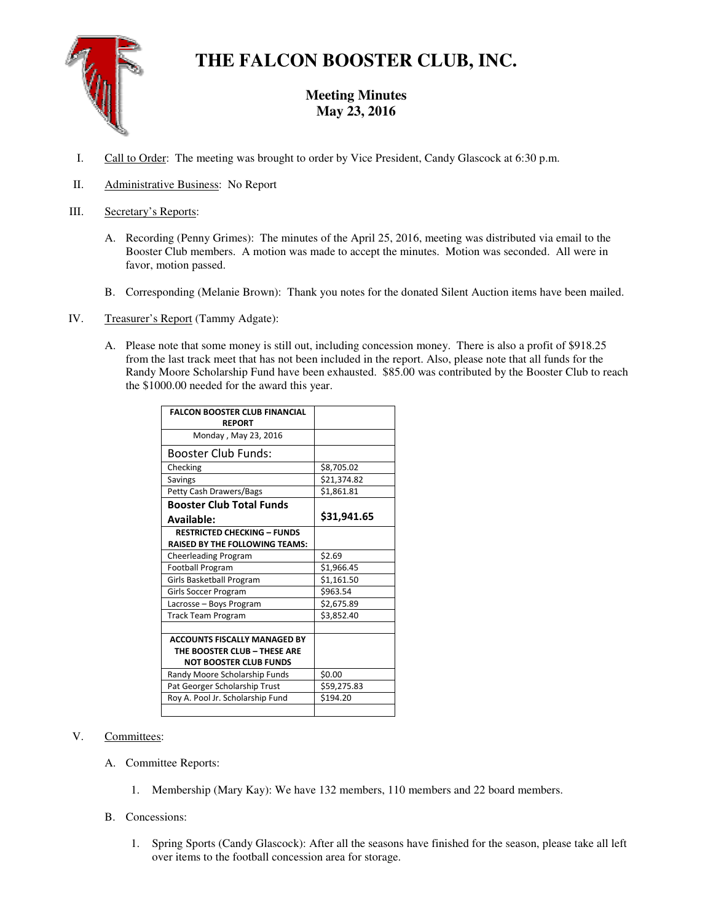

# **THE FALCON BOOSTER CLUB, INC.**

# **Meeting Minutes May 23, 2016**

- I. Call to Order: The meeting was brought to order by Vice President, Candy Glascock at 6:30 p.m.
- II. Administrative Business: No Report
- III. Secretary's Reports:
	- A. Recording (Penny Grimes): The minutes of the April 25, 2016, meeting was distributed via email to the Booster Club members. A motion was made to accept the minutes. Motion was seconded. All were in favor, motion passed.
	- B. Corresponding (Melanie Brown): Thank you notes for the donated Silent Auction items have been mailed.
- IV. Treasurer's Report (Tammy Adgate):
	- A. Please note that some money is still out, including concession money. There is also a profit of \$918.25 from the last track meet that has not been included in the report. Also, please note that all funds for the Randy Moore Scholarship Fund have been exhausted. \$85.00 was contributed by the Booster Club to reach the \$1000.00 needed for the award this year.

| <b>FALCON BOOSTER CLUB FINANCIAL</b><br><b>REPORT</b> |             |
|-------------------------------------------------------|-------------|
| Monday, May 23, 2016                                  |             |
| Booster Club Funds:                                   |             |
| Checking                                              | \$8,705.02  |
| Savings                                               | \$21,374.82 |
| Petty Cash Drawers/Bags                               | \$1,861.81  |
| <b>Booster Club Total Funds</b>                       |             |
| Available:                                            | \$31,941.65 |
| <b>RESTRICTED CHECKING - FUNDS</b>                    |             |
| <b>RAISED BY THE FOLLOWING TEAMS:</b>                 |             |
| <b>Cheerleading Program</b>                           | \$2.69      |
| <b>Football Program</b>                               | \$1,966.45  |
| Girls Basketball Program                              | \$1,161.50  |
| Girls Soccer Program                                  | \$963.54    |
| Lacrosse - Boys Program                               | \$2,675.89  |
| <b>Track Team Program</b>                             | \$3,852.40  |
|                                                       |             |
| <b>ACCOUNTS FISCALLY MANAGED BY</b>                   |             |
| THE BOOSTER CLUB - THESE ARE                          |             |
| NOT BOOSTER CLUB FUNDS                                |             |
| Randy Moore Scholarship Funds                         | \$0.00      |
| Pat Georger Scholarship Trust                         | \$59,275.83 |
| Roy A. Pool Jr. Scholarship Fund                      | \$194.20    |
|                                                       |             |

## V. Committees:

- A. Committee Reports:
	- 1. Membership (Mary Kay): We have 132 members, 110 members and 22 board members.

## B. Concessions:

1. Spring Sports (Candy Glascock): After all the seasons have finished for the season, please take all left over items to the football concession area for storage.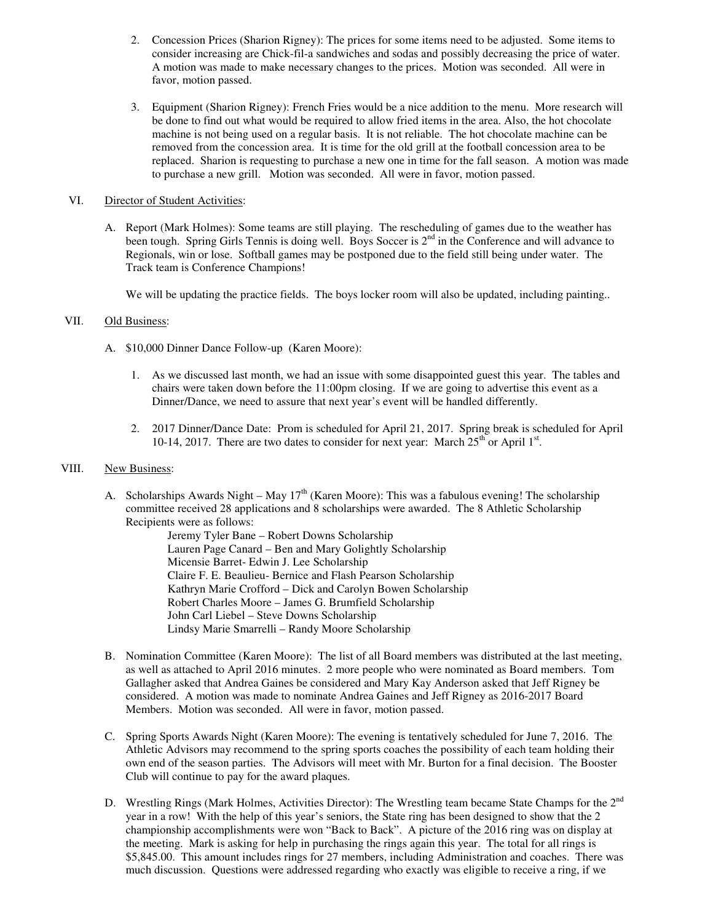- 2. Concession Prices (Sharion Rigney): The prices for some items need to be adjusted. Some items to consider increasing are Chick-fil-a sandwiches and sodas and possibly decreasing the price of water. A motion was made to make necessary changes to the prices. Motion was seconded. All were in favor, motion passed.
- 3. Equipment (Sharion Rigney): French Fries would be a nice addition to the menu. More research will be done to find out what would be required to allow fried items in the area. Also, the hot chocolate machine is not being used on a regular basis. It is not reliable. The hot chocolate machine can be removed from the concession area. It is time for the old grill at the football concession area to be replaced. Sharion is requesting to purchase a new one in time for the fall season. A motion was made to purchase a new grill. Motion was seconded. All were in favor, motion passed.

#### VI. Director of Student Activities:

A. Report (Mark Holmes): Some teams are still playing. The rescheduling of games due to the weather has been tough. Spring Girls Tennis is doing well. Boys Soccer is 2<sup>nd</sup> in the Conference and will advance to Regionals, win or lose. Softball games may be postponed due to the field still being under water. The Track team is Conference Champions!

We will be updating the practice fields. The boys locker room will also be updated, including painting..

#### VII. Old Business:

- A. \$10,000 Dinner Dance Follow-up (Karen Moore):
	- 1. As we discussed last month, we had an issue with some disappointed guest this year. The tables and chairs were taken down before the 11:00pm closing. If we are going to advertise this event as a Dinner/Dance, we need to assure that next year's event will be handled differently.
	- 2. 2017 Dinner/Dance Date: Prom is scheduled for April 21, 2017. Spring break is scheduled for April 10-14, 2017. There are two dates to consider for next year: March  $25<sup>th</sup>$  or April 1<sup>st</sup>.

#### VIII. New Business:

A. Scholarships Awards Night – May  $17<sup>th</sup>$  (Karen Moore): This was a fabulous evening! The scholarship committee received 28 applications and 8 scholarships were awarded. The 8 Athletic Scholarship Recipients were as follows:

Jeremy Tyler Bane – Robert Downs Scholarship Lauren Page Canard – Ben and Mary Golightly Scholarship Micensie Barret- Edwin J. Lee Scholarship Claire F. E. Beaulieu- Bernice and Flash Pearson Scholarship Kathryn Marie Crofford – Dick and Carolyn Bowen Scholarship Robert Charles Moore – James G. Brumfield Scholarship John Carl Liebel – Steve Downs Scholarship Lindsy Marie Smarrelli – Randy Moore Scholarship

- B. Nomination Committee (Karen Moore): The list of all Board members was distributed at the last meeting, as well as attached to April 2016 minutes. 2 more people who were nominated as Board members. Tom Gallagher asked that Andrea Gaines be considered and Mary Kay Anderson asked that Jeff Rigney be considered. A motion was made to nominate Andrea Gaines and Jeff Rigney as 2016-2017 Board Members. Motion was seconded. All were in favor, motion passed.
- C. Spring Sports Awards Night (Karen Moore): The evening is tentatively scheduled for June 7, 2016. The Athletic Advisors may recommend to the spring sports coaches the possibility of each team holding their own end of the season parties. The Advisors will meet with Mr. Burton for a final decision. The Booster Club will continue to pay for the award plaques.
- D. Wrestling Rings (Mark Holmes, Activities Director): The Wrestling team became State Champs for the 2<sup>nd</sup> year in a row! With the help of this year's seniors, the State ring has been designed to show that the 2 championship accomplishments were won "Back to Back". A picture of the 2016 ring was on display at the meeting. Mark is asking for help in purchasing the rings again this year. The total for all rings is \$5,845.00. This amount includes rings for 27 members, including Administration and coaches. There was much discussion. Questions were addressed regarding who exactly was eligible to receive a ring, if we